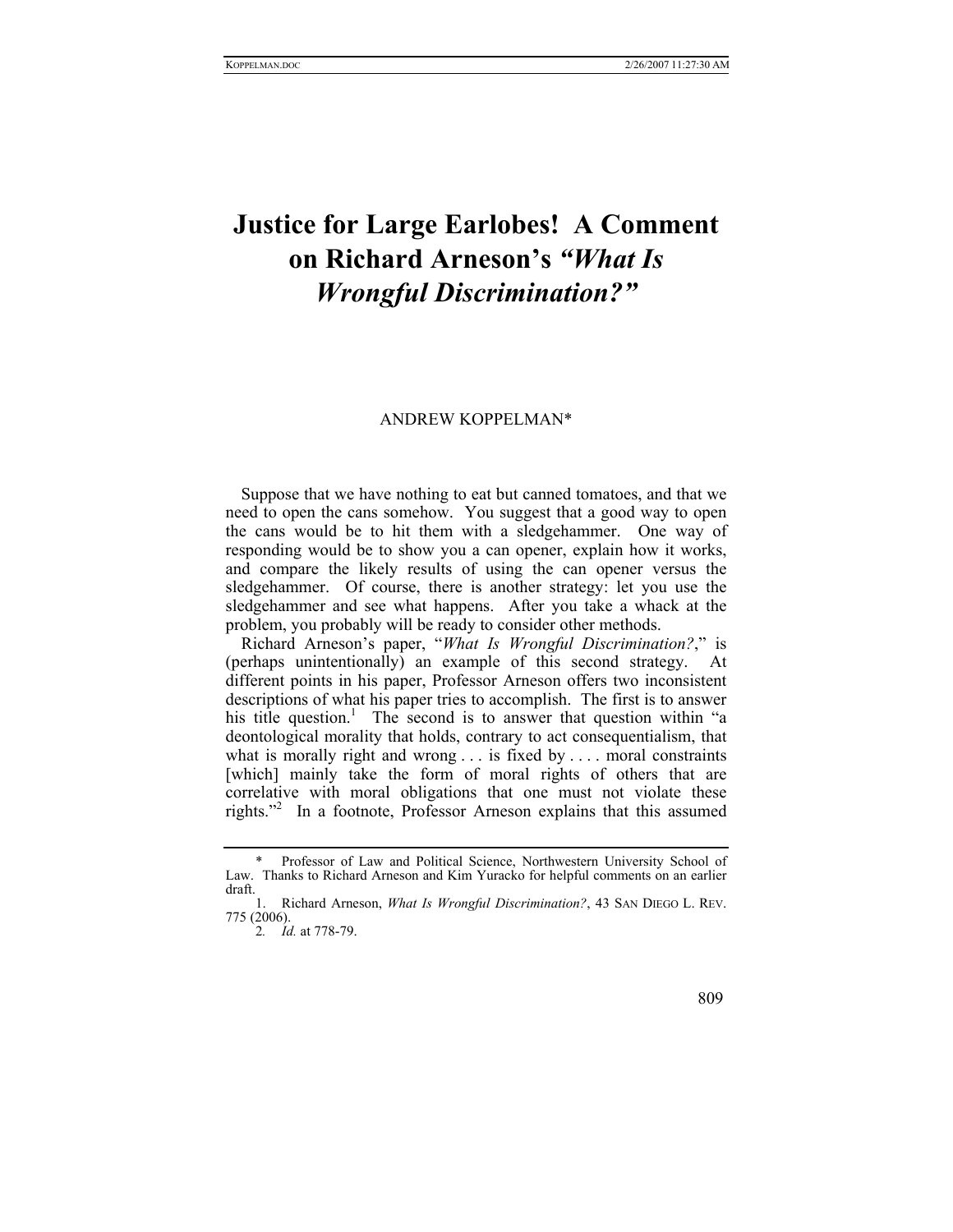## **Justice for Large Earlobes! A Comment on Richard Arneson's** *"What Is Wrongful Discrimination?"*

## ANDREW KOPPELMA[N\\*](#page-0-0)

Suppose that we have nothing to eat but canned tomatoes, and that we need to open the cans somehow. You suggest that a good way to open the cans would be to hit them with a sledgehammer. One way of responding would be to show you a can opener, explain how it works, and compare the likely results of using the can opener versus the sledgehammer. Of course, there is another strategy: let you use the sledgehammer and see what happens. After you take a whack at the problem, you probably will be ready to consider other methods.

Richard Arneson's paper, "*What Is Wrongful Discrimination?*," is (perhaps unintentionally) an example of this second strategy. At different points in his paper, Professor Arneson offers two inconsistent descriptions of what his paper tries to accomplish. The first is to answer his title question.<sup>1</sup> The second is to answer that question within "a deontological morality that holds, contrary to act consequentialism, that what is morally right and wrong . . . is fixed by . . . . moral constraints [which] mainly take the form of moral rights of others that are correlative with moral obligations that one must not violate these rights."[2](#page-0-2) In a footnote, Professor Arneson explains that this assumed

<span id="page-0-2"></span><span id="page-0-1"></span>2*. Id.* at 778-79.

<span id="page-0-0"></span>Professor of Law and Political Science, Northwestern University School of Law. Thanks to Richard Arneson and Kim Yuracko for helpful comments on an earlier draft.

<sup>1.</sup> Richard Arneson, *What Is Wrongful Discrimination?*, 43 SAN DIEGO L. REV. 775 (2006).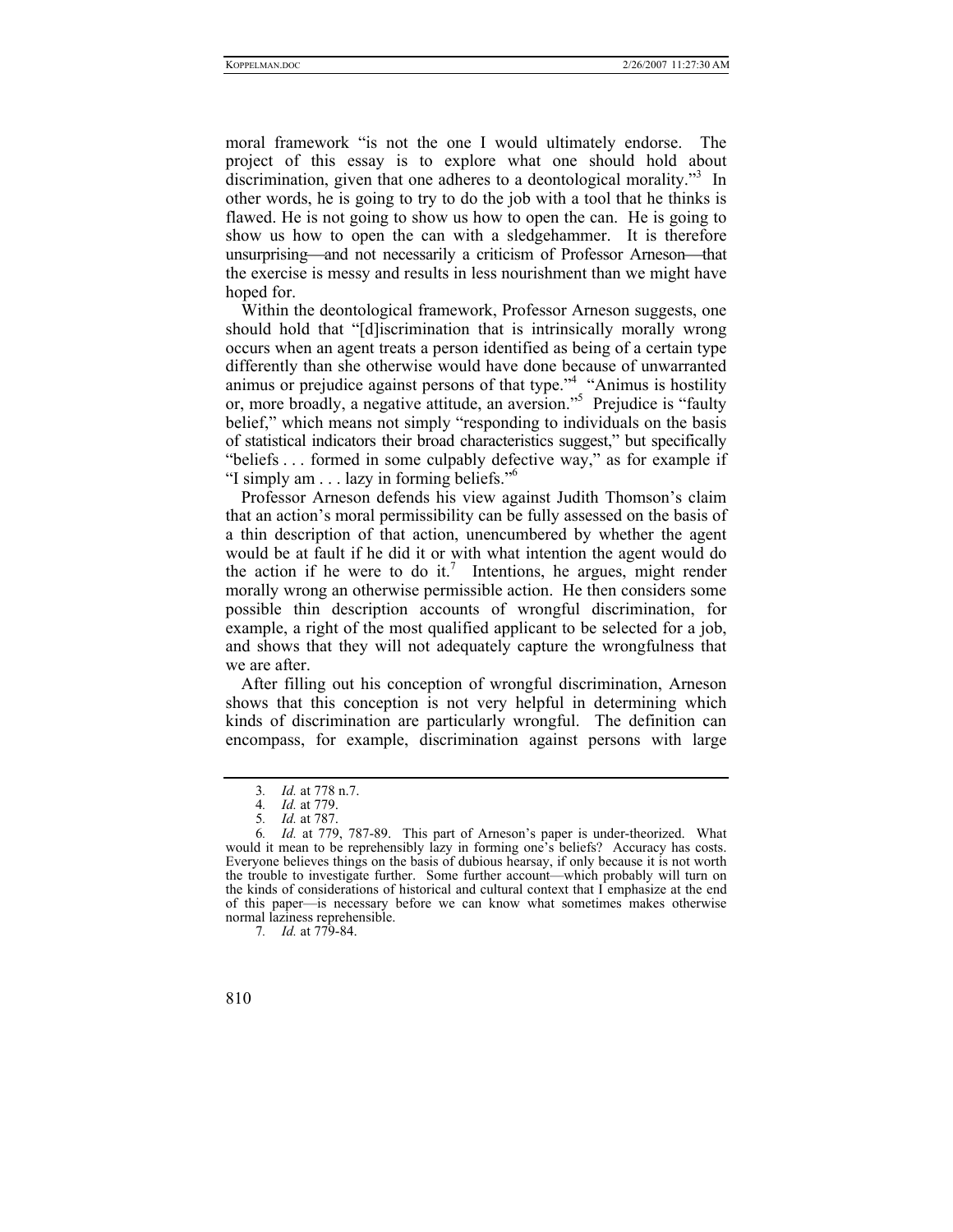moral framework "is not the one I would ultimately endorse. The project of this essay is to explore what one should hold about discrimination, given that one adheres to a deontological morality."<sup>3</sup> In other words, he is going to try to do the job with a tool that he thinks is flawed. He is not going to show us how to open the can. He is going to show us how to open the can with a sledgehammer. It is therefore unsurprising—and not necessarily a criticism of Professor Arneson—that the exercise is messy and results in less nourishment than we might have hoped for.

Within the deontological framework, Professor Arneson suggests, one should hold that "[d]iscrimination that is intrinsically morally wrong occurs when an agent treats a person identified as being of a certain type differently than she otherwise would have done because of unwarranted animus or prejudice against persons of that type.["4](#page-1-1) "Animus is hostility or, more broadly, a negative attitude, an aversion.["5](#page-1-2) Prejudice is "faulty belief," which means not simply "responding to individuals on the basis of statistical indicators their broad characteristics suggest," but specifically "beliefs . . . formed in some culpably defective way," as for example if "I simply am . . . lazy in forming beliefs.["6](#page-1-3)

Professor Arneson defends his view against Judith Thomson's claim that an action's moral permissibility can be fully assessed on the basis of a thin description of that action, unencumbered by whether the agent would be at fault if he did it or with what intention the agent would do the action if he were to do it.<sup>[7](#page-1-4)</sup> Intentions, he argues, might render morally wrong an otherwise permissible action. He then considers some possible thin description accounts of wrongful discrimination, for example, a right of the most qualified applicant to be selected for a job, and shows that they will not adequately capture the wrongfulness that we are after.

After filling out his conception of wrongful discrimination, Arneson shows that this conception is not very helpful in determining which kinds of discrimination are particularly wrongful. The definition can encompass, for example, discrimination against persons with large

<span id="page-1-4"></span><sup>7</sup>*. Id.* at 779-84.



<span id="page-1-0"></span><sup>3</sup>*. Id.* at 778 n.7.

<span id="page-1-1"></span><sup>4</sup>*. Id.* at 779.

<span id="page-1-3"></span><span id="page-1-2"></span><sup>5</sup>*. Id.* at 787.

<sup>6</sup>*. Id.* at 779, 787-89. This part of Arneson's paper is under-theorized. What would it mean to be reprehensibly lazy in forming one's beliefs? Accuracy has costs. Everyone believes things on the basis of dubious hearsay, if only because it is not worth the trouble to investigate further. Some further account—which probably will turn on the kinds of considerations of historical and cultural context that  $\vec{l}$  emphasize at the end of this paper—is necessary before we can know what sometimes makes otherwise normal laziness reprehensible.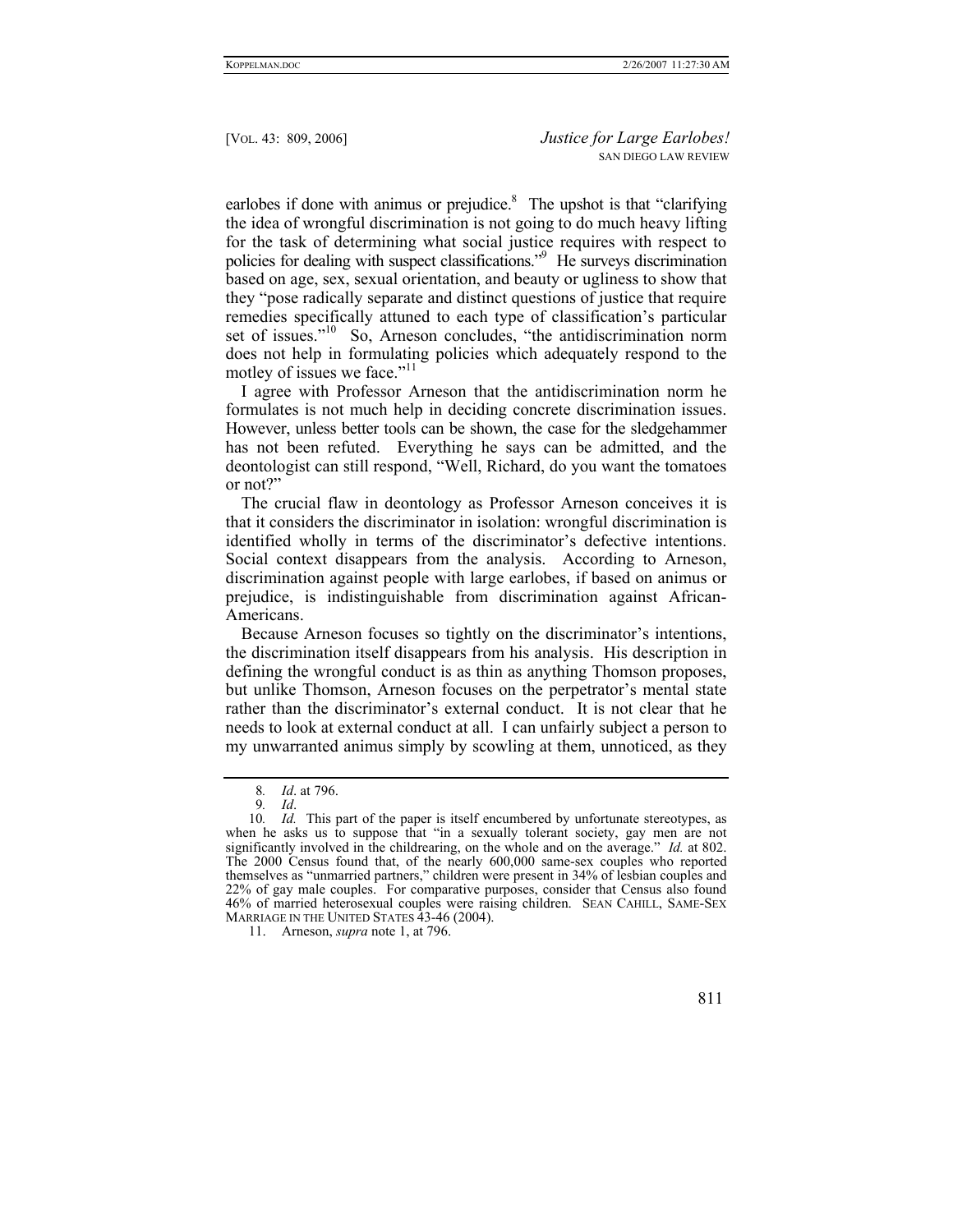earlobes if done with animus or prejudice. $8$  The upshot is that "clarifying the idea of wrongful discrimination is not going to do much heavy lifting for the task of determining what social justice requires with respect to policies for dealing with suspect classifications.["9](#page-2-1) He surveys discrimination based on age, sex, sexual orientation, and beauty or ugliness to show that they "pose radically separate and distinct questions of justice that require remedies specifically attuned to each type of classification's particular set of issues."<sup>10</sup> So, Arneson concludes, "the antidiscrimination norm does not help in formulating policies which adequately respond to the motley of issues we face."<sup>[11](#page-2-3)</sup>

I agree with Professor Arneson that the antidiscrimination norm he formulates is not much help in deciding concrete discrimination issues. However, unless better tools can be shown, the case for the sledgehammer has not been refuted. Everything he says can be admitted, and the deontologist can still respond, "Well, Richard, do you want the tomatoes or not?"

The crucial flaw in deontology as Professor Arneson conceives it is that it considers the discriminator in isolation: wrongful discrimination is identified wholly in terms of the discriminator's defective intentions. Social context disappears from the analysis. According to Arneson, discrimination against people with large earlobes, if based on animus or prejudice, is indistinguishable from discrimination against African-Americans.

Because Arneson focuses so tightly on the discriminator's intentions, the discrimination itself disappears from his analysis. His description in defining the wrongful conduct is as thin as anything Thomson proposes, but unlike Thomson, Arneson focuses on the perpetrator's mental state rather than the discriminator's external conduct. It is not clear that he needs to look at external conduct at all. I can unfairly subject a person to my unwarranted animus simply by scowling at them, unnoticed, as they

<span id="page-2-3"></span><sup>11.</sup> Arneson, *supra* note 1, at 796.



<span id="page-2-0"></span><sup>8</sup>*. Id*. at 796.

<span id="page-2-2"></span><span id="page-2-1"></span><sup>9</sup>*. Id*.

<sup>10</sup>*. Id.* This part of the paper is itself encumbered by unfortunate stereotypes, as when he asks us to suppose that "in a sexually tolerant society, gay men are not significantly involved in the childrearing, on the whole and on the average." *Id.* at 802. The 2000 Census found that, of the nearly 600,000 same-sex couples who reported themselves as "unmarried partners," children were present in 34% of lesbian couples and 22% of gay male couples. For comparative purposes, consider that Census also found 46% of married heterosexual couples were raising children. SEAN CAHILL, SAME-SEX MARRIAGE IN THE UNITED STATES 43-46 (2004).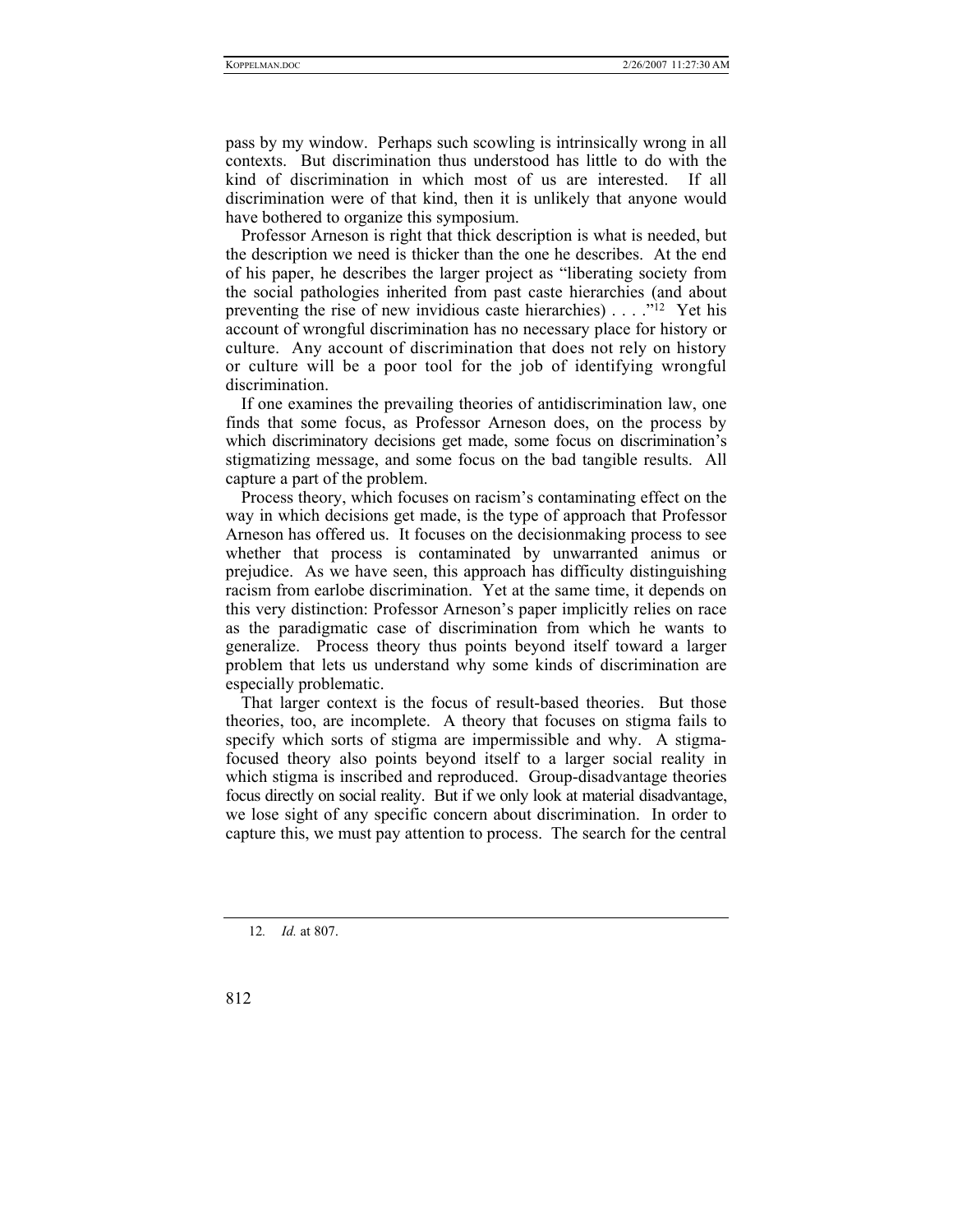pass by my window. Perhaps such scowling is intrinsically wrong in all contexts. But discrimination thus understood has little to do with the kind of discrimination in which most of us are interested. If all discrimination were of that kind, then it is unlikely that anyone would have bothered to organize this symposium.

Professor Arneson is right that thick description is what is needed, but the description we need is thicker than the one he describes. At the end of his paper, he describes the larger project as "liberating society from the social pathologies inherited from past caste hierarchies (and about preventing the rise of new invidious caste hierarchies) . . . . "<sup>12</sup> Yet his account of wrongful discrimination has no necessary place for history or culture. Any account of discrimination that does not rely on history or culture will be a poor tool for the job of identifying wrongful discrimination.

If one examines the prevailing theories of antidiscrimination law, one finds that some focus, as Professor Arneson does, on the process by which discriminatory decisions get made, some focus on discrimination's stigmatizing message, and some focus on the bad tangible results. All capture a part of the problem.

Process theory, which focuses on racism's contaminating effect on the way in which decisions get made, is the type of approach that Professor Arneson has offered us. It focuses on the decisionmaking process to see whether that process is contaminated by unwarranted animus or prejudice. As we have seen, this approach has difficulty distinguishing racism from earlobe discrimination. Yet at the same time, it depends on this very distinction: Professor Arneson's paper implicitly relies on race as the paradigmatic case of discrimination from which he wants to generalize. Process theory thus points beyond itself toward a larger problem that lets us understand why some kinds of discrimination are especially problematic.

That larger context is the focus of result-based theories. But those theories, too, are incomplete. A theory that focuses on stigma fails to specify which sorts of stigma are impermissible and why. A stigmafocused theory also points beyond itself to a larger social reality in which stigma is inscribed and reproduced. Group-disadvantage theories focus directly on social reality. But if we only look at material disadvantage, we lose sight of any specific concern about discrimination. In order to capture this, we must pay attention to process. The search for the central

<span id="page-3-0"></span>12*. Id.* at 807.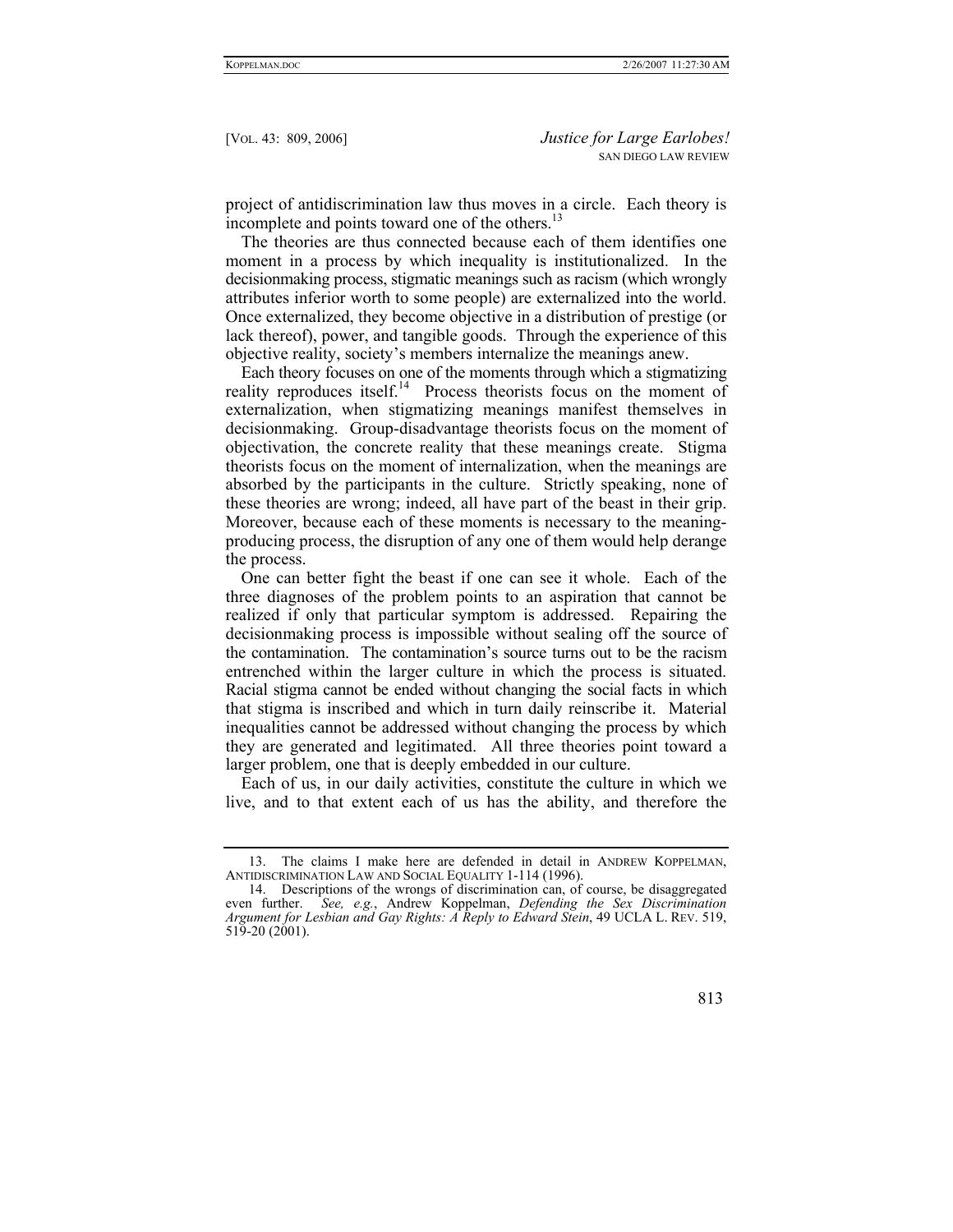project of antidiscrimination law thus moves in a circle. Each theory is incomplete and points toward one of the others.<sup>[13](#page-4-0)</sup>

The theories are thus connected because each of them identifies one moment in a process by which inequality is institutionalized. In the decisionmaking process, stigmatic meanings such as racism (which wrongly attributes inferior worth to some people) are externalized into the world. Once externalized, they become objective in a distribution of prestige (or lack thereof), power, and tangible goods. Through the experience of this objective reality, society's members internalize the meanings anew.

Each theory focuses on one of the moments through which a stigmatizing reality reproduces itself.<sup>14</sup> Process theorists focus on the moment of externalization, when stigmatizing meanings manifest themselves in decisionmaking. Group-disadvantage theorists focus on the moment of objectivation, the concrete reality that these meanings create. Stigma theorists focus on the moment of internalization, when the meanings are absorbed by the participants in the culture. Strictly speaking, none of these theories are wrong; indeed, all have part of the beast in their grip. Moreover, because each of these moments is necessary to the meaningproducing process, the disruption of any one of them would help derange the process.

One can better fight the beast if one can see it whole. Each of the three diagnoses of the problem points to an aspiration that cannot be realized if only that particular symptom is addressed. Repairing the decisionmaking process is impossible without sealing off the source of the contamination. The contamination's source turns out to be the racism entrenched within the larger culture in which the process is situated. Racial stigma cannot be ended without changing the social facts in which that stigma is inscribed and which in turn daily reinscribe it. Material inequalities cannot be addressed without changing the process by which they are generated and legitimated. All three theories point toward a larger problem, one that is deeply embedded in our culture.

Each of us, in our daily activities, constitute the culture in which we live, and to that extent each of us has the ability, and therefore the

<span id="page-4-1"></span><sup>14.</sup> Descriptions of the wrongs of discrimination can, of course, be disaggregated even further. *See, e.g.*, Andrew Koppelman, *Defending the Sex Discrimination Argument for Lesbian and Gay Rights: A Reply to Edward Stein*, 49 UCLA L. REV. 519, 519-20 (2001).



<span id="page-4-0"></span><sup>13.</sup> The claims I make here are defended in detail in ANDREW KOPPELMAN, ANTIDISCRIMINATION LAW AND SOCIAL EQUALITY 1-114 (1996).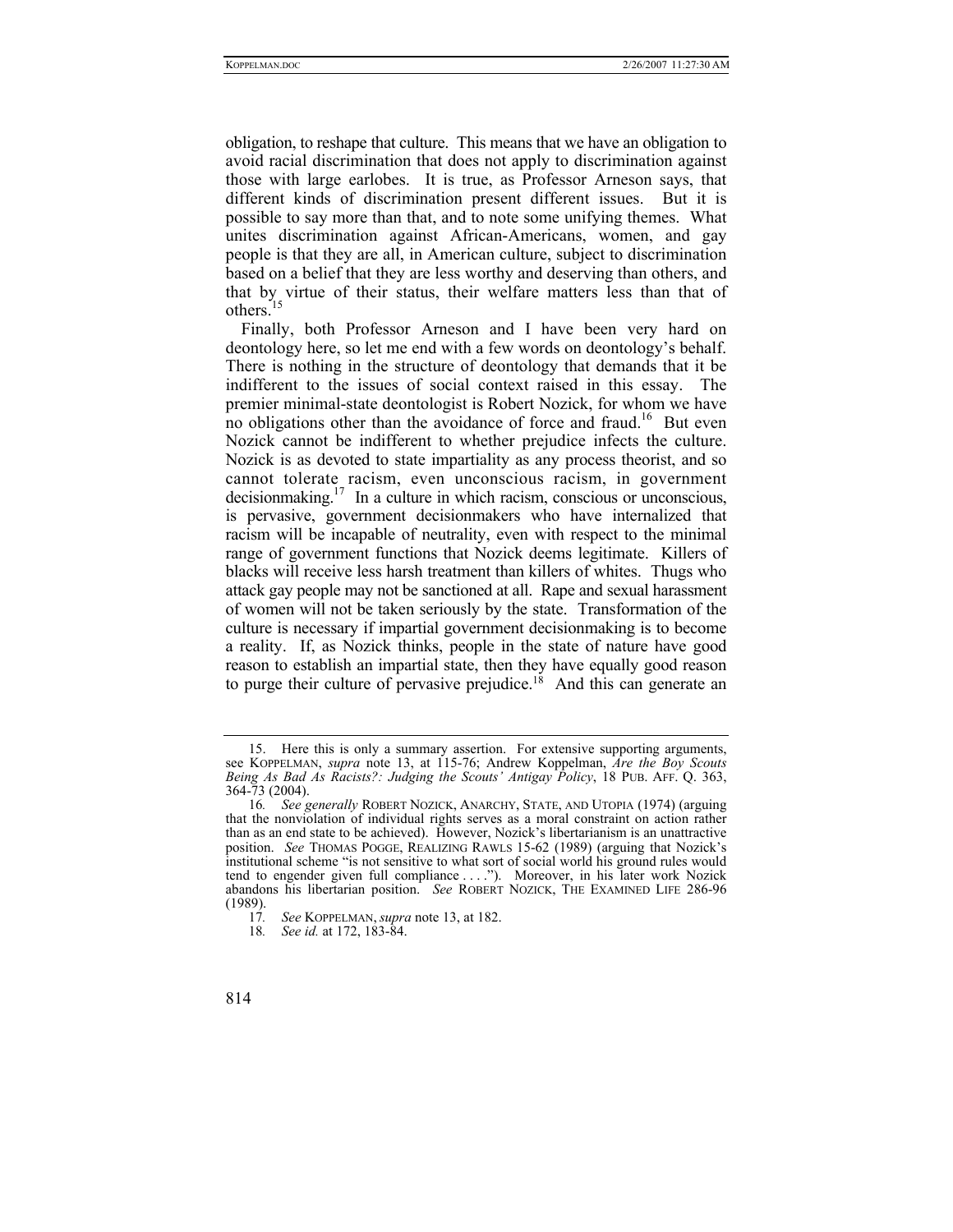obligation, to reshape that culture. This means that we have an obligation to avoid racial discrimination that does not apply to discrimination against those with large earlobes. It is true, as Professor Arneson says, that different kinds of discrimination present different issues. But it is possible to say more than that, and to note some unifying themes. What unites discrimination against African-Americans, women, and gay people is that they are all, in American culture, subject to discrimination based on a belief that they are less worthy and deserving than others, and that by virtue of their status, their welfare matters less than that of others.<sup>[15](#page-5-0)</sup>

Finally, both Professor Arneson and I have been very hard on deontology here, so let me end with a few words on deontology's behalf. There is nothing in the structure of deontology that demands that it be indifferent to the issues of social context raised in this essay. The premier minimal-state deontologist is Robert Nozick, for whom we have no obligations other than the avoidance of force and fraud.<sup>16</sup> But even Nozick cannot be indifferent to whether prejudice infects the culture. Nozick is as devoted to state impartiality as any process theorist, and so cannot tolerate racism, even unconscious racism, in government decision making.<sup>17</sup> In a culture in which racism, conscious or unconscious, is pervasive, government decisionmakers who have internalized that racism will be incapable of neutrality, even with respect to the minimal range of government functions that Nozick deems legitimate. Killers of blacks will receive less harsh treatment than killers of whites. Thugs who attack gay people may not be sanctioned at all. Rape and sexual harassment of women will not be taken seriously by the state. Transformation of the culture is necessary if impartial government decisionmaking is to become a reality. If, as Nozick thinks, people in the state of nature have good reason to establish an impartial state, then they have equally good reason to purge their culture of pervasive prejudice.<sup>18</sup> And this can generate an

<span id="page-5-0"></span><sup>15.</sup> Here this is only a summary assertion. For extensive supporting arguments, see KOPPELMAN, *supra* note 13, at 115-76; Andrew Koppelman, *Are the Boy Scouts Being As Bad As Racists?: Judging the Scouts' Antigay Policy*, 18 PUB. AFF. Q. 363, 364-73 (2004).

<span id="page-5-1"></span><sup>16</sup>*. See generally* ROBERT NOZICK, ANARCHY, STATE, AND UTOPIA (1974) (arguing that the nonviolation of individual rights serves as a moral constraint on action rather than as an end state to be achieved). However, Nozick's libertarianism is an unattractive position. *See* THOMAS POGGE, REALIZING RAWLS 15-62 (1989) (arguing that Nozick's institutional scheme "is not sensitive to what sort of social world his ground rules would tend to engender given full compliance . . . ."). Moreover, in his later work Nozick abandons his libertarian position. *See* ROBERT NOZICK, THE EXAMINED LIFE 286-96  $(1989)$ .<br>17.

<span id="page-5-2"></span><sup>17</sup>*. See* KOPPELMAN,*supra* note 13, at 182.

<span id="page-5-3"></span><sup>18</sup>*. See id.* at 172, 183-84.

<sup>814</sup>